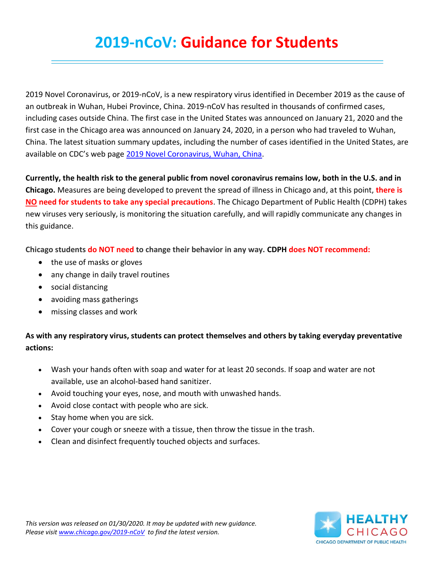## **2019-nCoV: Guidance for Students**

2019 Novel Coronavirus, or 2019-nCoV, is a new respiratory virus identified in December 2019 as the cause of an outbreak in Wuhan, Hubei Province, China. 2019-nCoV has resulted in thousands of confirmed cases, including cases outside China. The first case in the United States was announced on January 21, 2020 and the first case in the Chicago area was announced on January 24, 2020, in a person who had traveled to Wuhan, China. The latest situation summary updates, including the number of cases identified in the United States, are available on CDC's web page [2019 Novel Coronavirus, Wuhan, China.](https://www.cdc.gov/coronavirus/2019-ncov/index.html)

**Currently, the health risk to the general public from novel coronavirus remains low, both in the U.S. and in Chicago.** Measures are being developed to prevent the spread of illness in Chicago and, at this point, **there is NO need for students to take any special precautions**. The Chicago Department of Public Health (CDPH) takes new viruses very seriously, is monitoring the situation carefully, and will rapidly communicate any changes in this guidance.

**Chicago students do NOT need to change their behavior in any way. CDPH does NOT recommend:**

- the use of masks or gloves
- any change in daily travel routines
- social distancing
- avoiding mass gatherings
- missing classes and work

## **As with any respiratory virus, students can protect themselves and others by taking everyday preventative actions:**

- Wash your hands often with soap and water for at least 20 seconds. If soap and water are not available, use an alcohol-based hand sanitizer.
- Avoid touching your eyes, nose, and mouth with unwashed hands.
- Avoid close contact with people who are sick.
- Stay home when you are sick.
- Cover your cough or sneeze with a tissue, then throw the tissue in the trash.
- Clean and disinfect frequently touched objects and surfaces.